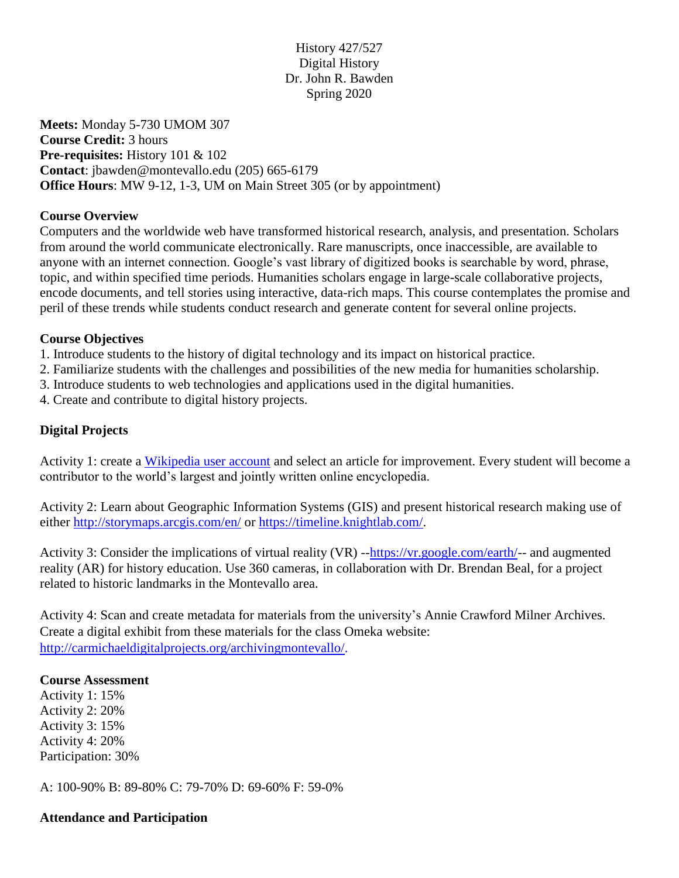# History 427/527 Digital History Dr. John R. Bawden Spring 2020

**Meets:** Monday 5-730 UMOM 307 **Course Credit:** 3 hours **Pre-requisites:** History 101 & 102 **Contact**: jbawden@montevallo.edu (205) 665-6179 **Office Hours**: MW 9-12, 1-3, UM on Main Street 305 (or by appointment)

### **Course Overview**

Computers and the worldwide web have transformed historical research, analysis, and presentation. Scholars from around the world communicate electronically. Rare manuscripts, once inaccessible, are available to anyone with an internet connection. Google's vast library of digitized books is searchable by word, phrase, topic, and within specified time periods. Humanities scholars engage in large-scale collaborative projects, encode documents, and tell stories using interactive, data-rich maps. This course contemplates the promise and peril of these trends while students conduct research and generate content for several online projects.

### **Course Objectives**

- 1. Introduce students to the history of digital technology and its impact on historical practice.
- 2. Familiarize students with the challenges and possibilities of the new media for humanities scholarship.
- 3. Introduce students to web technologies and applications used in the digital humanities.
- 4. Create and contribute to digital history projects.

## **Digital Projects**

Activity 1: create a [Wikipedia user account](https://en.wikipedia.org/w/index.php?title=Special:CreateAccount&returnto=Wikipedia:Why_create_an_account%3F) and select an article for improvement. Every student will become a contributor to the world's largest and jointly written online encyclopedia.

Activity 2: Learn about Geographic Information Systems (GIS) and present historical research making use of either<http://storymaps.arcgis.com/en/> or [https://timeline.knightlab.com/.](https://timeline.knightlab.com/)

Activity 3: Consider the implications of virtual reality (VR) -[-https://vr.google.com/earth/-](https://vr.google.com/earth/)- and augmented reality (AR) for history education. Use 360 cameras, in collaboration with Dr. Brendan Beal, for a project related to historic landmarks in the Montevallo area.

Activity 4: Scan and create metadata for materials from the university's Annie Crawford Milner Archives. Create a digital exhibit from these materials for the class Omeka website: [http://carmichaeldigitalprojects.org/archivingmontevallo/.](http://carmichaeldigitalprojects.org/archivingmontevallo/)

#### **Course Assessment**

Activity 1: 15% Activity 2: 20% Activity 3: 15% Activity 4: 20% Participation: 30%

A: 100-90% B: 89-80% C: 79-70% D: 69-60% F: 59-0%

#### **Attendance and Participation**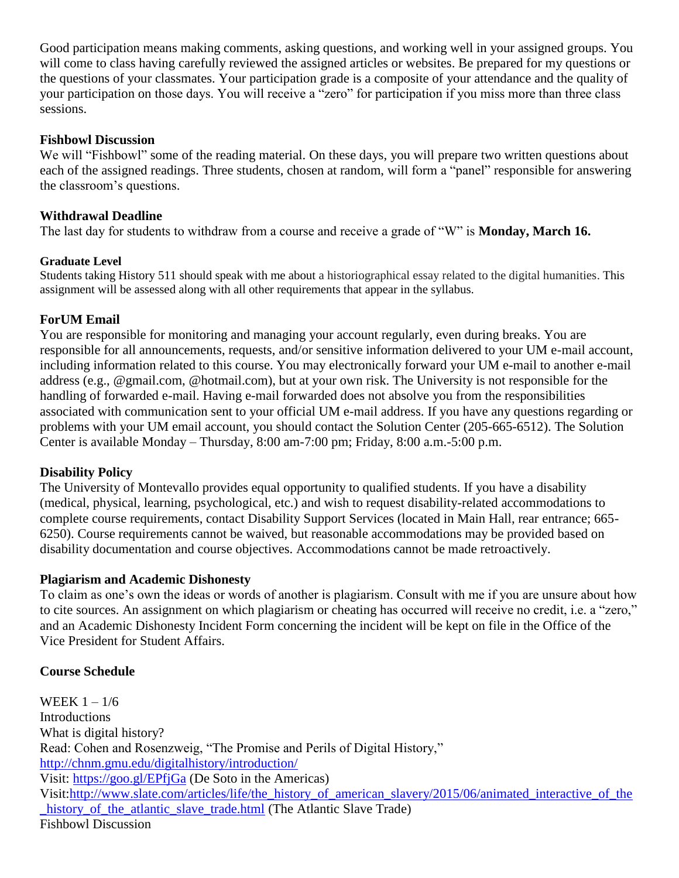Good participation means making comments, asking questions, and working well in your assigned groups. You will come to class having carefully reviewed the assigned articles or websites. Be prepared for my questions or the questions of your classmates. Your participation grade is a composite of your attendance and the quality of your participation on those days. You will receive a "zero" for participation if you miss more than three class sessions.

### **Fishbowl Discussion**

We will "Fishbowl" some of the reading material. On these days, you will prepare two written questions about each of the assigned readings. Three students, chosen at random, will form a "panel" responsible for answering the classroom's questions.

### **Withdrawal Deadline**

The last day for students to withdraw from a course and receive a grade of "W" is **Monday, March 16.**

### **Graduate Level**

Students taking History 511 should speak with me about a historiographical essay related to the digital humanities. This assignment will be assessed along with all other requirements that appear in the syllabus.

## **ForUM Email**

You are responsible for monitoring and managing your account regularly, even during breaks. You are responsible for all announcements, requests, and/or sensitive information delivered to your UM e-mail account, including information related to this course. You may electronically forward your UM e-mail to another e-mail address (e.g., @gmail.com, @hotmail.com), but at your own risk. The University is not responsible for the handling of forwarded e-mail. Having e-mail forwarded does not absolve you from the responsibilities associated with communication sent to your official UM e-mail address. If you have any questions regarding or problems with your UM email account, you should contact the Solution Center (205-665-6512). The Solution Center is available Monday – Thursday, 8:00 am-7:00 pm; Friday, 8:00 a.m.-5:00 p.m.

## **Disability Policy**

The University of Montevallo provides equal opportunity to qualified students. If you have a disability (medical, physical, learning, psychological, etc.) and wish to request disability-related accommodations to complete course requirements, contact Disability Support Services (located in Main Hall, rear entrance; 665- 6250). Course requirements cannot be waived, but reasonable accommodations may be provided based on disability documentation and course objectives. Accommodations cannot be made retroactively.

## **Plagiarism and Academic Dishonesty**

To claim as one's own the ideas or words of another is plagiarism. Consult with me if you are unsure about how to cite sources. An assignment on which plagiarism or cheating has occurred will receive no credit, i.e. a "zero," and an Academic Dishonesty Incident Form concerning the incident will be kept on file in the Office of the Vice President for Student Affairs.

## **Course Schedule**

WEEK  $1 - 1/6$ Introductions What is digital history? Read: Cohen and Rosenzweig, "The Promise and Perils of Digital History," <http://chnm.gmu.edu/digitalhistory/introduction/> Visit:<https://goo.gl/EPfjGa> (De Soto in the Americas) Visit[:http://www.slate.com/articles/life/the\\_history\\_of\\_american\\_slavery/2015/06/animated\\_interactive\\_of\\_the](http://www.slate.com/articles/life/the_history_of_american_slavery/2015/06/animated_interactive_of_the_history_of_the_atlantic_slave_trade.html) history of the atlantic slave trade.html (The Atlantic Slave Trade) Fishbowl Discussion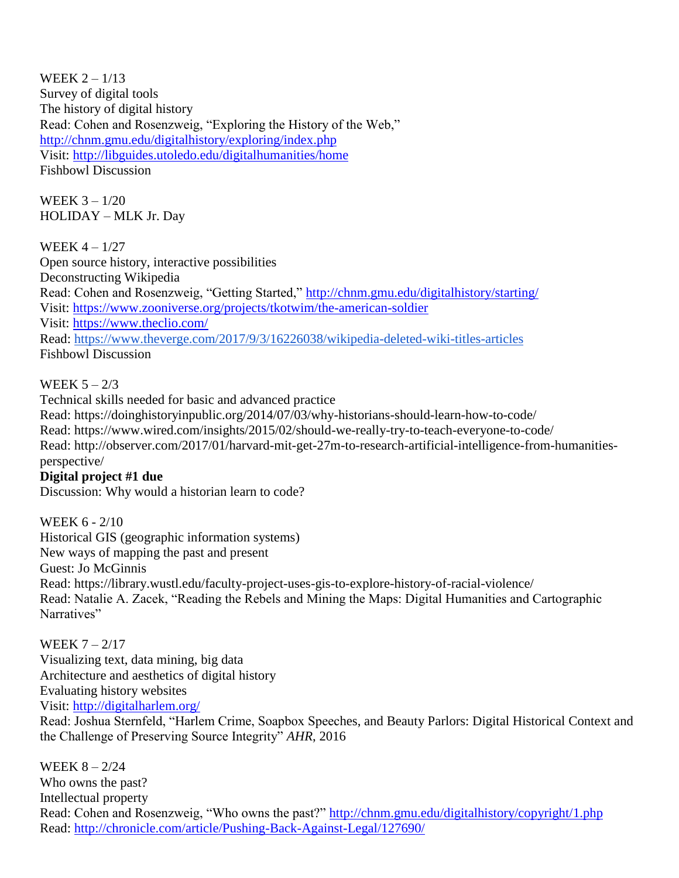WEEK  $2 - 1/13$ Survey of digital tools The history of digital history Read: Cohen and Rosenzweig, "Exploring the History of the Web," <http://chnm.gmu.edu/digitalhistory/exploring/index.php> Visit:<http://libguides.utoledo.edu/digitalhumanities/home> Fishbowl Discussion

WEEK 3 – 1/20 HOLIDAY – MLK Jr. Day

WEEK 4 – 1/27 Open source history, interactive possibilities Deconstructing Wikipedia Read: Cohen and Rosenzweig, "Getting Started,"<http://chnm.gmu.edu/digitalhistory/starting/> Visit:<https://www.zooniverse.org/projects/tkotwim/the-american-soldier> Visit:<https://www.theclio.com/> Read:<https://www.theverge.com/2017/9/3/16226038/wikipedia-deleted-wiki-titles-articles> Fishbowl Discussion

# WEEK  $5 - 2/3$

Technical skills needed for basic and advanced practice Read: https://doinghistoryinpublic.org/2014/07/03/why-historians-should-learn-how-to-code/ Read: https://www.wired.com/insights/2015/02/should-we-really-try-to-teach-everyone-to-code/ Read: http://observer.com/2017/01/harvard-mit-get-27m-to-research-artificial-intelligence-from-humanitiesperspective/

# **Digital project #1 due**

Discussion: Why would a historian learn to code?

WEEK 6 - 2/10 Historical GIS (geographic information systems) New ways of mapping the past and present Guest: Jo McGinnis Read: https://library.wustl.edu/faculty-project-uses-gis-to-explore-history-of-racial-violence/ Read: Natalie A. Zacek, "Reading the Rebels and Mining the Maps: Digital Humanities and Cartographic Narratives"

WEEK 7 – 2/17 Visualizing text, data mining, big data Architecture and aesthetics of digital history Evaluating history websites Visit:<http://digitalharlem.org/>

Read: Joshua Sternfeld, "Harlem Crime, Soapbox Speeches, and Beauty Parlors: Digital Historical Context and the Challenge of Preserving Source Integrity" *AHR*, 2016

WEEK 8 – 2/24 Who owns the past? Intellectual property Read: Cohen and Rosenzweig, "Who owns the past?"<http://chnm.gmu.edu/digitalhistory/copyright/1.php> Read:<http://chronicle.com/article/Pushing-Back-Against-Legal/127690/>